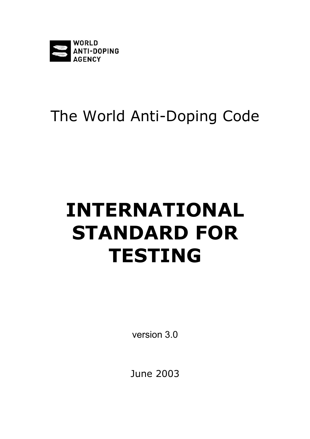

# The World Anti-Doping Code

# **INTERNATIONAL STANDARD FOR TESTING**

version 3.0

June 2003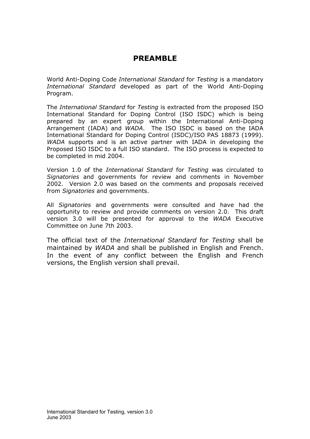# **PREAMBLE**

World Anti-Doping Code *International Standard* for *Testing* is a mandatory *International Standard* developed as part of the World Anti-Doping Program.

The *International Standard* for *Testing* is extracted from the proposed ISO International Standard for Doping Control (ISO ISDC) which is being prepared by an expert group within the International Anti-Doping Arrangement (IADA) and *WADA*. The ISO ISDC is based on the IADA International Standard for Doping Control (ISDC)/ISO PAS 18873 (1999). *WADA* supports and is an active partner with IADA in developing the Proposed ISO ISDC to a full ISO standard. The ISO process is expected to be completed in mid 2004.

Version 1.0 of the *International Standard* for *Testing* was circulated to *Signatories* and governments for review and comments in November 2002. Version 2.0 was based on the comments and proposals received from *Signatories* and governments.

All *Signatories* and governments were consulted and have had the opportunity to review and provide comments on version 2.0. This draft version 3.0 will be presented for approval to the *WADA* Executive Committee on June 7th 2003.

The official text of the *International Standard* for *Testing* shall be maintained by *WADA* and shall be published in English and French. In the event of any conflict between the English and French versions, the English version shall prevail.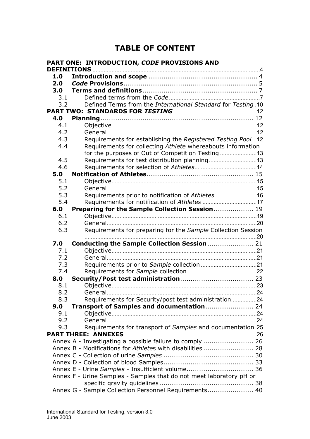# **TABLE OF CONTENT**

| PART ONE: INTRODUCTION, CODE PROVISIONS AND |                                                                     |  |
|---------------------------------------------|---------------------------------------------------------------------|--|
|                                             |                                                                     |  |
| 1.0                                         |                                                                     |  |
| 2.0                                         |                                                                     |  |
| 3.0                                         |                                                                     |  |
| 3.1                                         |                                                                     |  |
| 3.2                                         | Defined Terms from the International Standard for Testing .10       |  |
|                                             |                                                                     |  |
| 4.0                                         |                                                                     |  |
| 4.1                                         |                                                                     |  |
| 4.2                                         |                                                                     |  |
| 4.3                                         | Requirements for establishing the Registered Testing Pool12         |  |
| 4.4                                         | Requirements for collecting Athlete whereabouts information         |  |
|                                             | for the purposes of Out of Competition Testing                      |  |
| 4.5                                         |                                                                     |  |
| 4.6                                         |                                                                     |  |
| 5.0                                         |                                                                     |  |
| 5.1                                         |                                                                     |  |
| 5.2<br>5.3                                  |                                                                     |  |
|                                             | Requirements prior to notification of Athletes16                    |  |
| 5.4                                         | Requirements for notification of Athletes 17                        |  |
| 6.0<br>6.1                                  | Preparing for the Sample Collection Session 19                      |  |
| 6.2                                         |                                                                     |  |
| 6.3                                         | Requirements for preparing for the Sample Collection Session        |  |
|                                             |                                                                     |  |
| 7.0                                         | Conducting the Sample Collection Session 21                         |  |
| 7.1                                         |                                                                     |  |
| 7.2                                         |                                                                     |  |
| 7.3                                         |                                                                     |  |
| 7.4                                         |                                                                     |  |
| 8.0                                         |                                                                     |  |
| 8.1                                         |                                                                     |  |
| 8.2                                         |                                                                     |  |
| 8.3                                         | Requirements for Security/post test administration24                |  |
| 9.0                                         | Transport of Samples and documentation 24                           |  |
| 9.1                                         |                                                                     |  |
| 9.2                                         |                                                                     |  |
| 9.3                                         | Requirements for transport of Samples and documentation.25          |  |
|                                             |                                                                     |  |
|                                             | Annex A - Investigating a possible failure to comply  26            |  |
|                                             | Annex B - Modifications for Athletes with disabilities 28           |  |
|                                             |                                                                     |  |
|                                             |                                                                     |  |
|                                             | Annex E - Urine Samples - Insufficient volume 36                    |  |
|                                             | Annex F - Urine Samples - Samples that do not meet laboratory pH or |  |
|                                             |                                                                     |  |
|                                             | Annex G - Sample Collection Personnel Requirements 40               |  |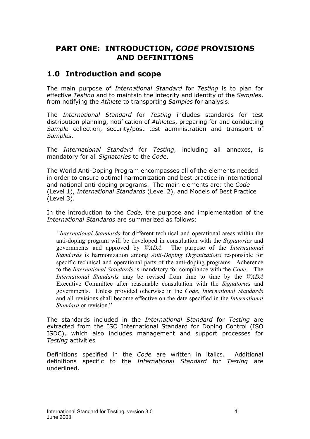# <span id="page-3-0"></span>**PART ONE: INTRODUCTION,** *CODE* **PROVISIONS AND DEFINITIONS**

# **1.0 Introduction and scope**

The main purpose of *International Standard* for *Testing* is to plan for effective *Testing* and to maintain the integrity and identity of the *Sample*s, from notifying the *Athlete* to transporting *Samples* for analysis.

The *International Standard* for *Testing* includes standards for test distribution planning, notification of *Athletes*, preparing for and conducting *Sample* collection, security/post test administration and transport of *Samples*.

The *International Standard* for *Testing*, including all annexes, is mandatory for all *Signatories* to the *Code*.

The World Anti-Doping Program encompasses all of the elements needed in order to ensure optimal harmonization and best practice in international and national anti-doping programs. The main elements are: the *Code* (Level 1), *International Standards* (Level 2), and Models of Best Practice (Level 3).

In the introduction to the *Code,* the purpose and implementation of the *International Standards* are summarized as follows:

*"International Standards* for different technical and operational areas within the anti-doping program will be developed in consultation with the *Signatories* and governments and approved by *WADA*. The purpose of the *International Standards* is harmonization among *Anti-Doping Organizations* responsible for specific technical and operational parts of the anti-doping programs. Adherence to the *International Standards* is mandatory for compliance with the *Code*. The *International Standards* may be revised from time to time by the *WADA* Executive Committee after reasonable consultation with the *Signatories* and governments. Unless provided otherwise in the *Code*, *International Standards* and all revisions shall become effective on the date specified in the *International Standard* or revision."

The standards included in the *International Standard* for *Testing* are extracted from the ISO International Standard for Doping Control (ISO ISDC), which also includes management and support processes for *Testing* activities

Definitions specified in the *Code* are written in italics. Additional definitions specific to the *International Standard* for *Testing* are underlined.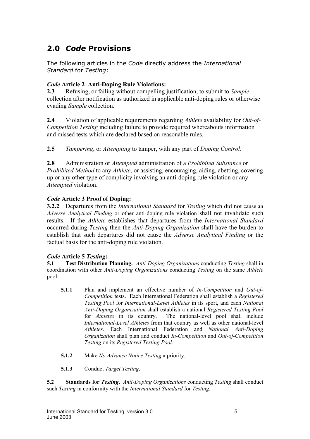# <span id="page-4-0"></span>**2.0** *Code* **Provisions**

The following articles in the *Code* directly address the *International Standard* for *Testing*:

#### *Code* **Article 2 Anti-Doping Rule Violations:**

**2.3** Refusing, or failing without compelling justification, to submit to *Sample* collection after notification as authorized in applicable anti-doping rules or otherwise evading *Sample* collection.

**2.4** Violation of applicable requirements regarding *Athlete* availability for *Out-of-Competition Testing* including failure to provide required whereabouts information and missed tests which are declared based on reasonable rules.

**2.5** *Tampering*, or *Attempting* to tamper, with any part of *Doping Control*.

**2.8** Administration or *Attempted* administration of a *Prohibited Substance* or *Prohibited Method* to any *Athlete*, or assisting, encouraging, aiding, abetting, covering up or any other type of complicity involving an anti-doping rule violation or any *Attempted* violation.

#### *Code* **Article 3 Proof of Doping:**

**3.2.2** Departures from the *International Standard* for *Testing* which did not cause an *Adverse Analytical Finding* or other anti-doping rule violation shall not invalidate such results. If the *Athlete* establishes that departures from the *International Standard* occurred during *Testing* then the *Anti-Doping Organization* shall have the burden to establish that such departures did not cause the *Adverse Analytical Finding* or the factual basis for the anti-doping rule violation.

#### *Code* **Article 5** *Testing***:**

**5.1 Test Distribution Planning.** *Anti-Doping Organizations* conducting *Testing* shall in coordination with other *Anti-Doping Organizations* conducting *Testing* on the same *Athlete* pool:

- **5.1.1** Plan and implement an effective number of *In-Competition* and *Out-of-Competition* tests. Each International Federation shall establish a *Registered Testing Pool* for *International-Level Athletes* in its sport, and each *National Anti-Doping Organization* shall establish a national *Registered Testing Pool* for *Athletes* in its country. The national-level pool shall include *International-Level Athletes* from that country as well as other national-level *Athletes*. Each International Federation and *National Anti-Doping Organization* shall plan and conduct *In-Competition* and *Out-of-Competition Testing* on its *Registered Testing Pool*.
- **5.1.2** Make *No Advance Notice Testing* a priority.

**5.1.3** Conduct *Target Testing*.

**5.2 Standards for** *Testing***.** *Anti-Doping Organizations* conducting *Testing* shall conduct such *Testing* in conformity with the *International Standard* for *Testing*.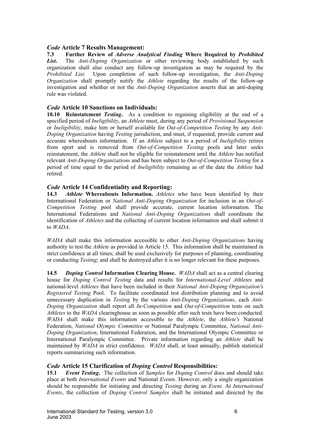#### *Code* **Article 7 Results Management:**

**7.3 Further Review of** *Adverse Analytical Finding* **Where Required by** *Prohibited List***.** The *Anti-Doping Organization* or other reviewing body established by such organization shall also conduct any follow-up investigation as may be required by the *Prohibited List*. Upon completion of such follow-up investigation, the *Anti-Doping Organization* shall promptly notify the *Athlete* regarding the results of the follow-up investigation and whether or not the *Anti-Doping Organization* asserts that an anti-doping rule was violated.

#### *Code* **Article 10 Sanctions on Individuals:**

**10.10 Reinstatement** *Testing***.** As a condition to regaining eligibility at the end of a specified period of *Ineligibility*, an *Athlete* must, during any period of *Provisional Suspension* or *Ineligibility*, make him or herself available for *Out-of-Competition Testing* by any *Anti-Doping Organization* having *Testing* jurisdiction, and must, if requested, provide current and accurate whereabouts information. If an *Athlete* subject to a period of *Ineligibility* retires from sport and is removed from *Out-of-Competition Testing* pools and later seeks reinstatement, the *Athlete* shall not be eligible for reinstatement until the *Athlete* has notified relevant *Anti-Doping Organizations* and has been subject to *Out-of-Competition Testing* for a period of time equal to the period of *Ineligibility* remaining as of the date the *Athlete* had retired.

#### *Code* **Article 14 Confidentiality and Reporting:**

**14.3** *Athlete* **Whereabouts Information.** *Athletes* who have been identified by their International Federation or *National Anti-Doping Organization* for inclusion in an *Out-of-Competition Testing* pool shall provide accurate, current location information. The International Federations and *National Anti-Doping Organizations* shall coordinate the identification of *Athletes* and the collecting of current location information and shall submit it to *WADA*.

*WADA* shall make this information accessible to other *Anti-Doping Organizations* having authority to test the *Athlete* as provided in Article 15. This information shall be maintained in strict confidence at all times; shall be used exclusively for purposes of planning, coordinating or conducting *Testing*; and shall be destroyed after it is no longer relevant for these purposes.

**14.5** *Doping Control* **Information Clearing House.** *WADA* shall act as a central clearing house for *Doping Control Testing* data and results for *International-Level Athletes* and national-level *Athletes* that have been included in their *National Anti-Doping Organization's Registered Testing* Pool. To facilitate coordinated test distribution planning and to avoid unnecessary duplication in *Testing* by the various *Anti-Doping Organizations*, each *Anti-Doping Organization* shall report all *In-Competition* and *Out-of-Competition* tests on such *Athletes* to the *WADA* clearinghouse as soon as possible after such tests have been conducted. *WADA* shall make this information accessible to the *Athlete*, the *Athlete's* National Federation, *National Olympic Committee* or National Paralympic Committee, *National Anti-Doping Organization*, International Federation, and the International Olympic Committee or International Paralympic Committee. Private information regarding an *Athlete* shall be maintained by *WADA* in strict confidence. *WADA* shall, at least annually, publish statistical reports summarizing such information.

#### *Code* **Article 15 Clarification of** *Doping Control* **Responsibilities:**

**15.1** *Event Testing***.** The collection of *Samples* for *Doping Control* does and should take place at both *International Events* and National *Events*. However, only a single organization should be responsible for initiating and directing *Testing* during an *Event*. At *International Events*, the collection of *Doping Control Samples* shall be initiated and directed by the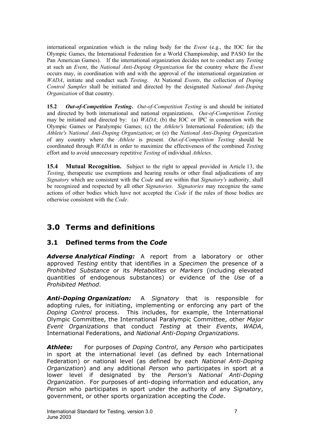<span id="page-6-0"></span>international organization which is the ruling body for the *Event* (e.g., the IOC for the Olympic Games, the International Federation for a World Championship, and PASO for the Pan American Games). If the international organization decides not to conduct any *Testing* at such an *Event*, the *National Anti-Doping Organization* for the country where the *Event* occurs may, in coordination with and with the approval of the international organization or *WADA*, initiate and conduct such *Testing*. At National *Events*, the collection of *Doping Control Samples* shall be initiated and directed by the designated *National Anti-Doping Organization* of that country.

**15.2** *Out-of-Competition Testing***.** *Out-of-Competition Testing* is and should be initiated and directed by both international and national organizations. *Out-of-Competition Testing* may be initiated and directed by: (a) *WADA*; (b) the IOC or IPC in connection with the Olympic Games or Paralympic Games; (c) the *Athlete's* International Federation; (d) the *Athlete's National Anti-Doping Organization*; or (e) the *National Anti-Doping Organization* of any country where the *Athlete* is present. *Out-of-Competition Testing* should be coordinated through *WADA* in order to maximize the effectiveness of the combined *Testing* effort and to avoid unnecessary repetitive *Testing* of individual *Athletes*.

**15.4 Mutual Recognition.** Subject to the right to appeal provided in Article 13, the *Testing*, therapeutic use exemptions and hearing results or other final adjudications of any *Signatory* which are consistent with the *Code* and are within that *Signatory's* authority, shall be recognized and respected by all other *Signatories*. *Signatories* may recognize the same actions of other bodies which have not accepted the *Code* if the rules of those bodies are otherwise consistent with the *Code*.

# **3.0 Terms and definitions**

# **3.1 Defined terms from the** *Code*

*Adverse Analytical Finding:* A report from a laboratory or other approved *Testing* entity that identifies in a *Specimen* the presence of a *Prohibited Substance* or its *Metabolites* or *Markers* (including elevated quantities of endogenous substances) or evidence of the *Use* of a *Prohibited Method*.

*Anti-Doping Organization:* A *Signatory* that is responsible for adopting rules, for initiating, implementing or enforcing any part of the *Doping Control* process. This includes, for example, the International Olympic Committee, the International Paralympic Committee, other *Major Event Organizations* that conduct *Testing* at their *Events*, *WADA*, International Federations, and *National Anti-Doping Organizations.*

*Athlete:* For purposes of *Doping Control*, any *Person* who participates in sport at the international level (as defined by each International Federation) or national level (as defined by each *National Anti-Doping Organization*) and any additional *Person* who participates in sport at a lower level if designated by the *Person's National Anti-Doping Organization*. For purposes of anti-doping information and education, any *Person* who participates in sport under the authority of any *Signatory*, government, or other sports organization accepting the *Code*.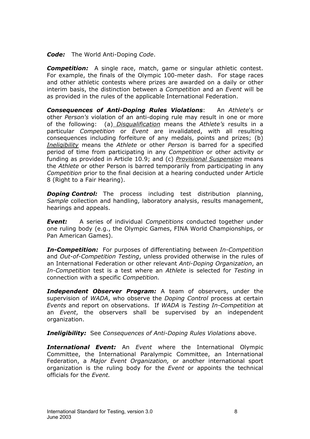*Code:* The World Anti-Doping *Code*.

*Competition:* A single race, match, game or singular athletic contest. For example, the finals of the Olympic 100-meter dash. For stage races and other athletic contests where prizes are awarded on a daily or other interim basis, the distinction between a *Competition* and an *Event* will be as provided in the rules of the applicable International Federation.

*Consequences of Anti-Doping Rules Violations*: An *Athlete*'s or other *Person's* violation of an anti-doping rule may result in one or more of the following: (a) *Disqualification* means the *Athlete's* results in a particular *Competition* or *Event* are invalidated, with all resulting consequences including forfeiture of any medals, points and prizes; (b) *Ineligibility* means the *Athlete* or other *Person* is barred for a specified period of time from participating in any *Competition* or other activity or funding as provided in Article 10.9; and (c) *Provisional Suspension* means the *Athlete* or other Person is barred temporarily from participating in any *Competition* prior to the final decision at a hearing conducted under Article 8 (Right to a Fair Hearing).

*Doping Control:* The process including test distribution planning, *Sample* collection and handling, laboratory analysis, results management, hearings and appeals.

*Event:* A series of individual *Competitions* conducted together under one ruling body (e.g., the Olympic Games, FINA World Championships, or Pan American Games).

*In-Competition:* For purposes of differentiating between *In-Competition* and *Out-of-Competition Testing*, unless provided otherwise in the rules of an International Federation or other relevant *Anti-Doping Organization*, an *In-Competition* test is a test where an *Athlete* is selected for *Testing* in connection with a specific *Competition.*

*Independent Observer Program:* A team of observers, under the supervision of *WADA*, who observe the *Doping Control* process at certain *Events* and report on observations. If *WADA* is *Testing In-Competition* at an *Event*, the observers shall be supervised by an independent organization.

*Ineligibility:* See *Consequences of Anti-Doping Rules Violations* above.

*International Event:* An *Event* where the International Olympic Committee, the International Paralympic Committee, an International Federation, a *Major Event Organization,* or another international sport organization is the ruling body for the *Event* or appoints the technical officials for the *Event.*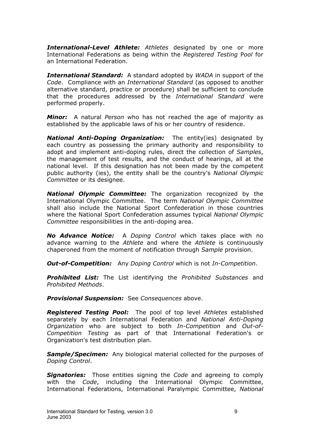*International-Level Athlete: Athletes* designated by one or more International Federations as being within the *Registered Testing* P*ool* for an International Federation.

*International Standard:* A standard adopted by *WADA* in support of the *Code*. Compliance with an *International Standard* (as opposed to another alternative standard, practice or procedure) shall be sufficient to conclude that the procedures addressed by the *International Standard* were performed properly.

*Minor:* A natural *Person* who has not reached the age of majority as established by the applicable laws of his or her country of residence.

*National Anti-Doping Organization:* The entity(ies) designated by each country as possessing the primary authority and responsibility to adopt and implement anti-doping rules, direct the collection of *Samples*, the management of test results, and the conduct of hearings, all at the national level. If this designation has not been made by the competent public authority (ies), the entity shall be the country's *National Olympic Committee* or its designee.

*National Olympic Committee:* The organization recognized by the International Olympic Committee. The term *National Olympic Committee* shall also include the National Sport Confederation in those countries where the National Sport Confederation assumes typical *National Olympic Committee* responsibilities in the anti-doping area.

*No Advance Notice:* A *Doping Control* which takes place with no advance warning to the *Athlete* and where the *Athlete* is continuously chaperoned from the moment of notification through *Sample* provision.

*Out-of-Competition:* Any *Doping Control* which is not *In-Competition*.

*Prohibited List:* The List identifying the *Prohibited Substances* and *Prohibited Methods*.

*Provisional Suspension:* See *Consequences* above.

*Registered Testing Pool:* The pool of top level *Athletes* established separately by each International Federation and *National Anti-Doping Organization* who are subject to both *In-Competition* and *Out-of-Competition Testing* as part of that International Federation's or Organization's test distribution plan.

*Sample/Specimen:* Any biological material collected for the purposes of *Doping Control*.

*Signatories:* Those entities signing the *Code* and agreeing to comply with the *Code*, including the International Olympic Committee, International Federations, International Paralympic Committee, *National*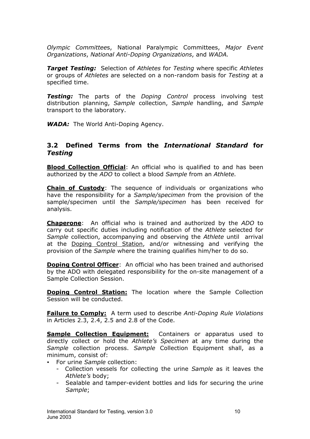<span id="page-9-0"></span>*Olympic Committee*s, National Paralympic Committees, *Major Event Organizations*, *National Anti-Doping Organizations*, and *WADA.*

*Target Testing:* Selection of *Athletes* for *Testing* where specific *Athletes* or groups of *Athletes* are selected on a non-random basis for *Testing* at a specified time.

*Testing:* The parts of the *Doping Control* process involving test distribution planning, *Sample* collection, *Sample* handling, and *Sample* transport to the laboratory.

*WADA:* The World Anti-Doping Agency.

#### **3.2 Defined Terms from the** *International Standard* **for** *Testing*

**Blood Collection Official**: An official who is qualified to and has been authorized by the *ADO* to collect a blood *Sample* from an *Athlete.*

**Chain of Custody**: The sequence of individuals or organizations who have the responsibility for a *Sample/specimen* from the provision of the sample/specimen until the *Sample/specimen* has been received for analysis.

**Chaperone**: An official who is trained and authorized by the *ADO* to carry out specific duties including notification of the *Athlete* selected for *Sample* collection, accompanying and observing the *Athlete* until arrival at the Doping Control Station, and/or witnessing and verifying the provision of the *Sample* where the training qualifies him/her to do so.

**Doping Control Officer:** An official who has been trained and authorised by the ADO with delegated responsibility for the on-site management of a Sample Collection Session.

**Doping Control Station:** The location where the Sample Collection Session will be conducted.

**Failure to Comply:** A term used to describe *Anti-Doping Rule Violations* in Articles 2.3, 2.4, 2.5 and 2.8 of the Code.

**Sample Collection Equipment:** Containers or apparatus used to directly collect or hold the *Athlete's Specimen* at any time during the *Sample* collection process. *Sample* Collection Equipment shall, as a minimum, consist of:

- For urine *Sample* collection:
	- Collection vessels for collecting the urine *Sample* as it leaves the *Athlete's* body;
	- Sealable and tamper-evident bottles and lids for securing the urine *Sample*;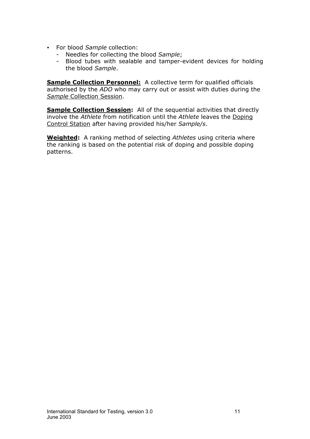- y For blood *Sample* collection:
	- Needles for collecting the blood *Sample*;
	- Blood tubes with sealable and tamper-evident devices for holding the blood *Sample*.

**Sample Collection Personnel:** A collective term for qualified officials authorised by the *ADO* who may carry out or assist with duties during the *Sample* Collection Session.

**Sample Collection Session:** All of the sequential activities that directly involve the *Athlete* from notification until the *Athlete* leaves the Doping Control Station after having provided his/her *Sample/s*.

**Weighted:** A ranking method of selecting *Athletes* using criteria where the ranking is based on the potential risk of doping and possible doping patterns.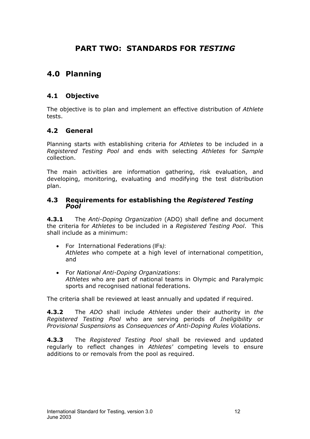# **PART TWO: STANDARDS FOR** *TESTING*

# <span id="page-11-0"></span>**4.0 Planning**

# **4.1 Objective**

The objective is to plan and implement an effective distribution of *Athlete*  tests.

## **4.2 General**

Planning starts with establishing criteria for *Athletes* to be included in a *Registered Testing Pool* and ends with selecting *Athletes* for *Sample* collection.

The main activities are information gathering, risk evaluation, and developing, monitoring, evaluating and modifying the test distribution plan.

# **4.3 Requirements for establishing the** *Registered Testing Pool*

**4.3.1** The *Anti-Doping Organization* (ADO) shall define and document the criteria for *Athletes* to be included in a *Registered Testing Pool*. This shall include as a minimum:

- ForInternational Federations (IFs*)*:  *Athletes* who compete at a high level of international competition, and
- For *National Anti-Doping Organizations*:  *Athletes* who are part of national teams in Olympic and Paralympic sports and recognised national federations.

The criteria shall be reviewed at least annually and updated if required.

**4.3.2** The *ADO* shall include *Athletes* under their authority in *the Registered Testing Pool* who are serving periods of *Ineligibility* or *Provisional Suspensions* as *Consequences of Anti-Doping Rules Violations*.

**4.3.3** The *Registered Testing Pool* shall be reviewed and updated regularly to reflect changes in *Athletes'* competing levels to ensure additions to or removals from the pool as required.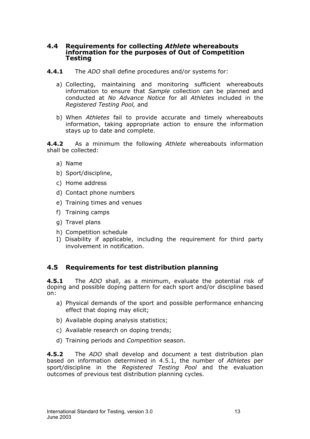# <span id="page-12-0"></span>**4.4 Requirements for collecting** *Athlete* **whereabouts information for the purposes of Out of Competition Testing**

- **4.4.1** The *ADO* shall define procedures and/or systems for:
	- a) Collecting, maintaining and monitoring sufficient whereabouts information to ensure that *Sample* collection can be planned and conducted at *No Advance Notice* for all *Athletes* included in the *Registered Testing Pool,* and
	- b) When *Athletes* fail to provide accurate and timely whereabouts information, taking appropriate action to ensure the information stays up to date and complete.

**4.4.2** As a minimum the following *Athlete* whereabouts information shall be collected:

- a) Name
- b) Sport/discipline,
- c) Home address
- d) Contact phone numbers
- e) Training times and venues
- f) Training camps
- g) Travel plans
- h) Competition schedule
- I) Disability if applicable, including the requirement for third party involvement in notification.

## **4.5 Requirements for test distribution planning**

**4.5.1** The *ADO* shall, as a minimum, evaluate the potential risk of doping and possible doping pattern for each sport and/or discipline based on:

- a) Physical demands of the sport and possible performance enhancing effect that doping may elicit;
- b) Available doping analysis statistics;
- c) Available research on doping trends;
- d) Training periods and *Competition* season.

**4.5.2** The *ADO* shall develop and document a test distribution plan based on information determined in 4.5.1, the number of *Athletes* per sport/discipline in the *Registered Testing Pool* and the evaluation outcomes of previous test distribution planning cycles.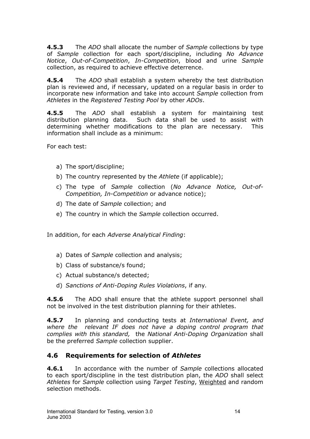<span id="page-13-0"></span>**4.5.3** The *ADO* shall allocate the number of *Sample* collections by type of *Sample* collection for each sport/discipline, including *No Advance Notice*, *Out-of-Competition*, *In-Competition*, blood and urine *Sample* collection, as required to achieve effective deterrence.

**4.5.4** The *ADO* shall establish a system whereby the test distribution plan is reviewed and, if necessary, updated on a regular basis in order to incorporate new information and take into account *Sample* collection from *Athletes* in the *Registered Testing Pool* by other *ADOs*.

**4.5.5** The *ADO* shall establish a system for maintaining test distribution planning data. Such data shall be used to assist with determining whether modifications to the plan are necessary. This information shall include as a minimum:

For each test:

- a) The sport/discipline;
- b) The country represented by the *Athlete* (if applicable);
- c) The type of *Sample* collection (*No Advance Notice, Out-of-Competition, In-Competition* or advance notice);
- d) The date of *Sample* collection; and
- e) The country in which the *Sample* collection occurred.

In addition, for each *Adverse Analytical Finding*:

- a) Dates of *Sample* collection and analysis;
- b) Class of substance/s found;
- c) Actual substance/s detected;
- d) *Sanctions of Anti-Doping Rules Violations*, if any*.*

**4.5.6** The ADO shall ensure that the athlete support personnel shall not be involved in the test distribution planning for their athletes.

**4.5.7** In planning and conducting tests at *International Event, and where the relevant IF does not have a doping control program that complies with this standard,* the *National Anti-Doping Organization* shall be the preferred *Sample* collection supplier.

# **4.6 Requirements for selection of** *Athletes*

**4.6.1** In accordance with the number of *Sample* collections allocated to each sport/discipline in the test distribution plan, the *ADO* shall select *Athletes* for *Sample* collection using *Target Testing*, Weighted and random selection methods.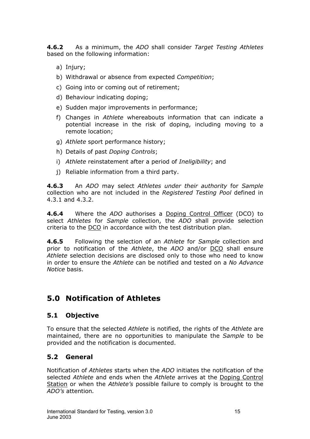<span id="page-14-0"></span>**4.6.2** As a minimum, the *ADO* shall consider *Target Testing Athletes* based on the following information:

- a) Injury;
- b) Withdrawal or absence from expected *Competition*;
- c) Going into or coming out of retirement;
- d) Behaviour indicating doping;
- e) Sudden major improvements in performance;
- f) Changes in *Athlete* whereabouts information that can indicate a potential increase in the risk of doping, including moving to a remote location;
- g) *Athlete* sport performance history;
- h) Details of past *Doping Controls*;
- i) *Athlete* reinstatement after a period of *Ineligibility*; and
- j) Reliable information from a third party.

**4.6.3** An *ADO* may select *Athletes under their authority* for *Sample* collection who are not included in the *Registered Testing Pool* defined in 4.3.1 and 4.3.2.

**4.6.4** Where the *ADO* authorises a Doping Control Officer (DCO) to select *Athletes* for *Sample* collection, the *ADO* shall provide selection criteria to the DCO in accordance with the test distribution plan.

**4.6.5** Following the selection of an *Athlete* for *Sample* collection and prior to notification of the *Athlete*, the *ADO* and/or DCO shall ensure *Athlete* selection decisions are disclosed only to those who need to know in order to ensure the *Athlete* can be notified and tested on a *No Advance Notice* basis.

# **5.0 Notification of Athletes**

## **5.1 Objective**

To ensure that the selected *Athlete* is notified, the rights of the *Athlete* are maintained, there are no opportunities to manipulate the *Sample* to be provided and the notification is documented.

# **5.2 General**

Notification of *Athletes* starts when the *ADO* initiates the notification of the selected *Athlete* and ends when the *Athlete* arrives at the Doping Control Station or when the *Athlete's* possible failure to comply is brought to the *ADO's* attention*.*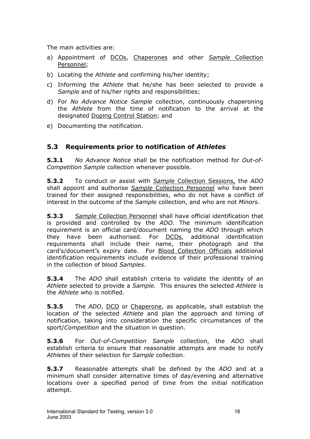<span id="page-15-0"></span>The main activities are:

- a) Appointment of DCOs, Chaperones and other *Sample* Collection Personnel;
- b) Locating the *Athlete* and confirming his/her identity;
- c) Informing the *Athlete* that he/she has been selected to provide a *Sample* and of his/her rights and responsibilities;
- d) For *No Advance Notice Sample* collection, continuously chaperoning the *Athlete* from the time of notification to the arrival at the designated Doping Control Station; and
- e) Documenting the notification.

# **5.3 Requirements prior to notification of** *Athletes*

**5.3.1** *No Advance Notice* shall be the notification method for *Out-of-Competition Sample* collection whenever possible.

**5.3.2** To conduct or assist with *Sample* Collection Sessions, the *ADO* shall appoint and authorise *Sample* Collection Personnel who have been trained for their assigned responsibilities, who do not have a conflict of interest in the outcome of the *Sample* collection, and who are not *Minors*.

**5.3.3** *Sample* Collection Personnel shall have official identification that is provided and controlled by the *ADO*. The minimum identification requirement is an official card/document naming the *ADO* through which they have been authorised. For DCOs, additional identification requirements shall include their name, their photograph and the card's/document's expiry date. For Blood Collection Officials additional identification requirements include evidence of their professional training in the collection of blood *Samples*.

**5.3.4** The *ADO* shall establish criteria to validate the identity of an *Athlete* selected to provide a *Sample.* This ensures the selected *Athlete* is the *Athlete* who is notified.

**5.3.5** The *ADO*, <u>DCO</u> or *Chaperone*, as applicable, shall establish the location of the selected *Athlete* and plan the approach and timing of notification, taking into consideration the specific circumstances of the sport/*Competition* and the situation in question.

**5.3.6** For *Out-of-Competition Sample* collection, the *ADO* shall establish criteria to ensure that reasonable attempts are made to notify *Athletes* of their selection for *Sample* collection.

**5.3.7** Reasonable attempts shall be defined by the *ADO* and at a minimum shall consider alternative times of day/evening and alternative locations over a specified period of time from the initial notification attempt.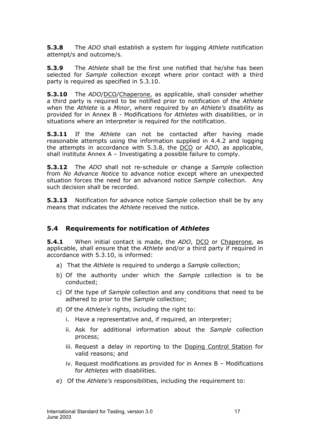<span id="page-16-0"></span>**5.3.8** The *ADO* shall establish a system for logging *Athlete* notification attempt/s and outcome/s.

**5.3.9** The *Athlete* shall be the first one notified that he/she has been selected for *Sample* collection except where prior contact with a third party is required as specified in 5.3.10.

**5.3.10** The *ADO*/DCO/Chaperone, as applicable, shall consider whether a third party is required to be notified prior to notification of the *Athlete* when the *Athlete* is a *Minor*, where required by an *Athlete's* disability as provided for in Annex B - Modifications for *Athletes* with disabilities, or in situations where an interpreter is required for the notification.

**5.3.11** If the *Athlete* can not be contacted after having made reasonable attempts using the information supplied in 4.4.2 and logging the attempts in accordance with 5.3.8, the DCO or *ADO*, as applicable, shall institute Annex A – Investigating a possible failure to comply.

**5.3.12** The *ADO* shall not re-schedule or change a *Sample* collection from *No Advance Notice* to advance notice except where an unexpected situation forces the need for an advanced notice *Sample* collection. Any such decision shall be recorded.

**5.3.13** Notification for advance notice *Sample* collection shall be by any means that indicates the *Athlete* received the notice.

# **5.4 Requirements for notification of** *Athletes*

**5.4.1** When initial contact is made, the ADO, DCO or Chaperone, as applicable, shall ensure that the *Athlete* and/or a third party if required in accordance with 5.3.10, is informed:

- a) That the *Athlete* is required to undergo a *Sample* collection;
- b) Of the authority under which the *Sample* collection is to be conducted;
- c) Of the type of *Sample* collection and any conditions that need to be adhered to prior to the *Sample* collection;
- d) Of the *Athlete's* rights, including the right to:
	- i. Have a representative and, if required, an interpreter;
	- ii. Ask for additional information about the *Sample* collection process;
	- iii. Request a delay in reporting to the Doping Control Station for valid reasons; and
	- iv. Request modifications as provided for in Annex B Modifications for *Athletes* with disabilities.
- e) Of the *Athlete's* responsibilities, including the requirement to: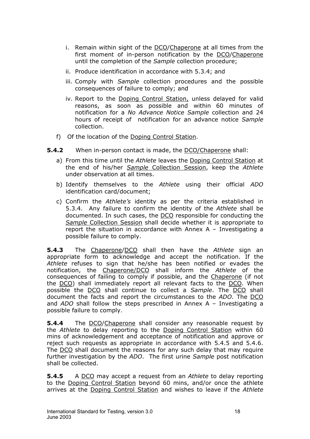- i. Remain within sight of the DCO/Chaperone at all times from the first moment of in-person notification by the DCO/Chaperone until the completion of the *Sample* collection procedure;
- ii. Produce identification in accordance with 5.3.4; and
- iii. Comply with *Sample* collection procedures and the possible consequences of failure to comply; and
- iv. Report to the Doping Control Station, unless delayed for valid reasons, as soon as possible and within 60 minutes of notification for a *No Advance Notice Sample* collection and 24 hours of receipt of notification for an advance notice *Sample* collection.
- f) Of the location of the Doping Control Station.
- **5.4.2** When in-person contact is made, the DCO/Chaperone shall:
	- a) From this time until the *Athlete* leaves the Doping Control Station at the end of his/her *Sample* Collection Session, keep the *Athlete* under observation at all times.
	- b) Identify themselves to the *Athlete* using their official *ADO* identification card/document;
	- c) Confirm the *Athlete's* identity as per the criteria established in 5.3.4. Any failure to confirm the identity of the *Athlete* shall be documented. In such cases, the DCO responsible for conducting the *Sample* Collection Session shall decide whether it is appropriate to report the situation in accordance with Annex A – Investigating a possible failure to comply.

**5.4.3** The Chaperone/DCO shall then have the *Athlete* sign an appropriate form to acknowledge and accept the notification. If the *Athlete* refuses to sign that he/she has been notified or evades the notification, the Chaperone/DCO shall inform the *Athlete* of the consequences of failing to comply if possible, and the Chaperone (if not the DCO) shall immediately report all relevant facts to the DCO. When possible the DCO shall continue to collect a *Sample*. The DCO shall document the facts and report the circumstances to the *ADO*. The DCO and *ADO* shall follow the steps prescribed in Annex A – Investigating a possible failure to comply.

**5.4.4** The DCO/Chaperone shall consider any reasonable request by the *Athlete* to delay reporting to the Doping Control Station within 60 mins of acknowledgement and acceptance of notification and approve or reject such requests as appropriate in accordance with 5.4.5 and 5.4.6. The DCO shall document the reasons for any such delay that may require further investigation by the *ADO*. The first urine *Sample* post notification shall be collected.

**5.4.5** A DCO may accept a request from an *Athlete* to delay reporting to the Doping Control Station beyond 60 mins, and/or once the athlete arrives at the Doping Control Station and wishes to leave if the *Athlete*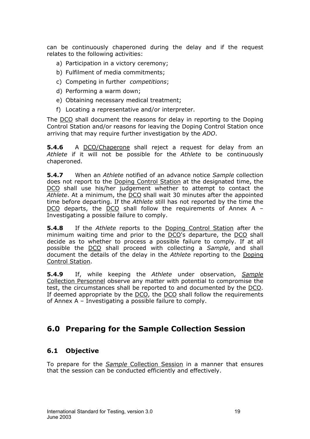<span id="page-18-0"></span>can be continuously chaperoned during the delay and if the request relates to the following activities:

- a) Participation in a victory ceremony;
- b) Fulfilment of media commitments;
- c) Competing in further *competitions*;
- d) Performing a warm down;
- e) Obtaining necessary medical treatment;
- f) Locating a representative and/or interpreter.

The DCO shall document the reasons for delay in reporting to the Doping Control Station and/or reasons for leaving the Doping Control Station once arriving that may require further investigation by the *ADO*.

**5.4.6** A DCO/Chaperone shall reject a request for delay from an *Athlete* if it will not be possible for the *Athlete* to be continuously chaperoned.

**5.4.7** When an *Athlete* notified of an advance notice *Sample* collection does not report to the Doping Control Station at the designated time, the DCO shall use his/her judgement whether to attempt to contact the *Athlete*. At a minimum, the DCO shall wait 30 minutes after the appointed time before departing. If the *Athlete* still has not reported by the time the DCO departs, the DCO shall follow the requirements of Annex A – Investigating a possible failure to comply.

**5.4.8** If the *Athlete* reports to the Doping Control Station after the minimum waiting time and prior to the DCO's departure, the DCO shall decide as to whether to process a possible failure to comply. If at all possible the DCO shall proceed with collecting a *Sample*, and shall document the details of the delay in the *Athlete* reporting to the Doping Control Station.

**5.4.9** If, while keeping the *Athlete* under observation, *Sample* Collection Personnel observe any matter with potential to compromise the test, the circumstances shall be reported to and documented by the DCO. If deemed appropriate by the DCO, the DCO shall follow the requirements of Annex A – Investigating a possible failure to comply.

# **6.0 Preparing for the Sample Collection Session**

## **6.1 Objective**

To prepare for the *Sample* Collection Session in a manner that ensures that the session can be conducted efficiently and effectively.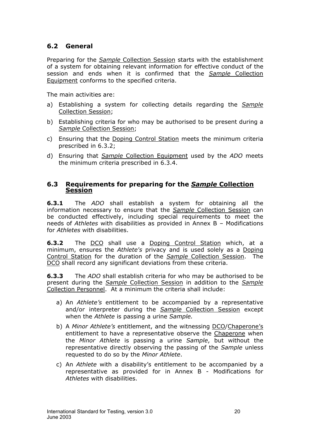# <span id="page-19-0"></span>**6.2 General**

Preparing for the *Sample* Collection Session starts with the establishment of a system for obtaining relevant information for effective conduct of the session and ends when it is confirmed that the *Sample* Collection Equipment conforms to the specified criteria.

The main activities are:

- a) Establishing a system for collecting details regarding the *Sample* Collection Session;
- b) Establishing criteria for who may be authorised to be present during a *Sample* Collection Session;
- c) Ensuring that the Doping Control Station meets the minimum criteria prescribed in 6.3.2;
- d) Ensuring that *Sample* Collection Equipment used by the *ADO* meets the minimum criteria prescribed in 6.3.4.

#### **6.3 Requirements for preparing for the** *Sample* **Collection Session**

**6.3.1** The *ADO* shall establish a system for obtaining all the information necessary to ensure that the *Sample* Collection Session can be conducted effectively, including special requirements to meet the needs of *Athletes* with disabilities as provided in Annex B – Modifications for *Athletes* with disabilities.

**6.3.2** The DCO shall use a Doping Control Station which, at a minimum, ensures the *Athlete's* privacy and is used solely as a Doping Control Station for the duration of the *Sample* Collection Session. The DCO shall record any significant deviations from these criteria.

**6.3.3** The *ADO* shall establish criteria for who may be authorised to be present during the *Sample* Collection Session in addition to the *Sample* Collection Personnel. At a minimum the criteria shall include:

- a) An *Athlete's* entitlement to be accompanied by a representative and/or interpreter during the *Sample* Collection Session except when the *Athlete* is passing a urine *Sample.*
- b) A *Minor Athlete's* entitlement, and the witnessing DCO/Chaperone's entitlement to have a representative observe the Chaperone when the *Minor Athlete* is passing a urine *Sample*, but without the representative directly observing the passing of the *Sample* unless requested to do so by the *Minor Athlete*.
- c) An *Athlete* with a disability's entitlement to be accompanied by a representative as provided for in Annex B - Modifications for *Athletes* with disabilities.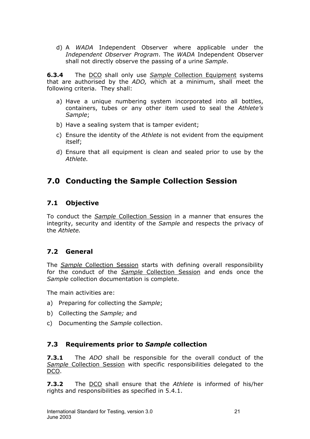<span id="page-20-0"></span>d) A *WADA* Independent Observer where applicable under the *Independent Observer Program*. The *WADA* Independent Observer shall not directly observe the passing of a urine *Sample*.

**6.3.4** The DCO shall only use *Sample* Collection Equipment systems that are authorised by the *ADO,* which at a minimum, shall meet the following criteria. They shall:

- a) Have a unique numbering system incorporated into all bottles, containers, tubes or any other item used to seal the *Athlete's Sample*;
- b) Have a sealing system that is tamper evident;
- c) Ensure the identity of the *Athlete* is not evident from the equipment itself;
- d) Ensure that all equipment is clean and sealed prior to use by the *Athlete.*

# **7.0 Conducting the Sample Collection Session**

## **7.1 Objective**

To conduct the *Sample* Collection Session in a manner that ensures the integrity, security and identity of the *Sample* and respects the privacy of the *Athlete.* 

# **7.2 General**

The *Sample* Collection Session starts with defining overall responsibility for the conduct of the *Sample* Collection Session and ends once the *Sample* collection documentation is complete.

The main activities are:

- a) Preparing for collecting the *Sample*;
- b) Collecting the *Sample;* and
- c) Documenting the *Sample* collection.

## **7.3 Requirements prior to** *Sample* **collection**

**7.3.1** The *ADO* shall be responsible for the overall conduct of the *Sample* Collection Session with specific responsibilities delegated to the DCO.

**7.3.2** The DCO shall ensure that the *Athlete* is informed of his/her rights and responsibilities as specified in 5.4.1.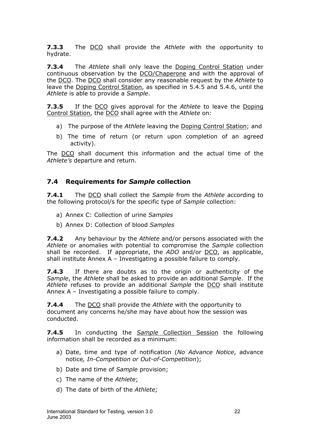<span id="page-21-0"></span>**7.3.3** The DCO shall provide the *Athlete* with the opportunity to hydrate.

**7.3.4** The *Athlete* shall only leave the Doping Control Station under continuous observation by the DCO/Chaperone and with the approval of the DCO. The DCO shall consider any reasonable request by the *Athlete* to leave the Doping Control Station, as specified in 5.4.5 and 5.4.6, until the *Athlete* is able to provide a *Sample*.

**7.3.5** If the DCO gives approval for the *Athlete* to leave the Doping Control Station, the DCO shall agree with the *Athlete* on:

- a) The purpose of the *Athlete* leaving the Doping Control Station; and
- b) The time of return (or return upon completion of an agreed activity).

The DCO shall document this information and the actual time of the *Athlete's* departure and return.

## **7.4 Requirements for** *Sample* **collection**

**7.4.1** The DCO shall collect the *Sample* from the *Athlete* according to the following protocol/s for the specific type of *Sample* collection:

- a) Annex C: Collection of urine *Samples*
- b) Annex D: Collection of blood *Samples*

**7.4.2** Any behaviour by the *Athlete* and/or persons associated with the *Athlete* or anomalies with potential to compromise the *Sample* collection shall be recorded. If appropriate, the *ADO* and/or DCO, as applicable, shall institute Annex A – Investigating a possible failure to comply.

**7.4.3** If there are doubts as to the origin or authenticity of the *Sample*, the *Athlete* shall be asked to provide an additional *Sample*. If the *Athlete* refuses to provide an additional *Sample* the DCO shall institute Annex A – Investigating a possible failure to comply.

**7.4.4** The DCO shall provide the *Athlete* with the opportunity to document any concerns he/she may have about how the session was conducted.

**7.4.5** In conducting the *Sample* Collection Session the following information shall be recorded as a minimum:

- a) Date, time and type of notification (*No Advance Notice*, advance notice*, In-Competition or Out-of-Competition*);
- b) Date and time of *Sample* provision;
- c) The name of the *Athlete*;
- d) The date of birth of the *Athlete;*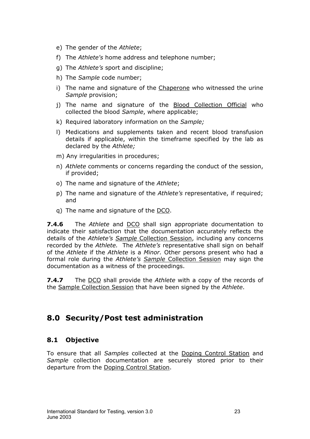- <span id="page-22-0"></span>e) The gender of the *Athlete*;
- f) The *Athlete's* home address and telephone number;
- g) The *Athlete's* sport and discipline;
- h) The *Sample* code number;
- i) The name and signature of the Chaperone who witnessed the urine *Sample* provision;
- j) The name and signature of the **Blood Collection Official** who collected the blood *Sample*, where applicable;
- k) Required laboratory information on the *Sample;*
- l) Medications and supplements taken and recent blood transfusion details if applicable, within the timeframe specified by the lab as declared by the *Athlete;*
- m) Any irregularities in procedures;
- n) *Athlete* comments or concerns regarding the conduct of the session, if provided;
- o) The name and signature of the *Athlete*;
- p) The name and signature of the *Athlete's* representative, if required; and
- q) The name and signature of the DCO.

**7.4.6** The *Athlete* and DCO shall sign appropriate documentation to indicate their satisfaction that the documentation accurately reflects the details of the *Athlete's Sample* Collection Session, including any concerns recorded by the *Athlete.* The *Athlete's* representative shall sign on behalf of the *Athlete* if the *Athlete* is a *Minor.* Other persons present who had a formal role during the *Athlete's Sample* Collection Session may sign the documentation as a witness of the proceedings.

**7.4.7** The DCO shall provide the *Athlete* with a copy of the records of the Sample Collection Session that have been signed by the *Athlete*.

# **8.0 Security/Post test administration**

## **8.1 Objective**

To ensure that all *Samples* collected at the Doping Control Station and *Sample* collection documentation are securely stored prior to their departure from the Doping Control Station.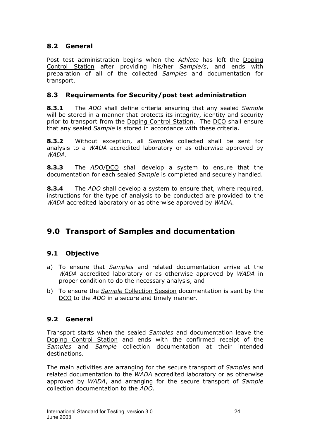# <span id="page-23-0"></span>**8.2 General**

Post test administration begins when the *Athlete* has left the Doping Control Station after providing his/her *Sample/s*, and ends with preparation of all of the collected *Samples* and documentation for transport.

# **8.3 Requirements for Security/post test administration**

**8.3.1** The *ADO* shall define criteria ensuring that any sealed *Sample* will be stored in a manner that protects its integrity, identity and security prior to transport from the Doping Control Station. The DCO shall ensure that any sealed *Sample* is stored in accordance with these criteria.

**8.3.2** Without exception, all *Samples* collected shall be sent for analysis to a *WADA* accredited laboratory or as otherwise approved by *WADA*.

**8.3.3** The *ADO*/DCO shall develop a system to ensure that the documentation for each sealed *Sample* is completed and securely handled.

**8.3.4** The *ADO* shall develop a system to ensure that, where required, instructions for the type of analysis to be conducted are provided to the *WADA* accredited laboratory or as otherwise approved by *WADA*.

# **9.0 Transport of Samples and documentation**

# **9.1 Objective**

- a) To ensure that *Samples* and related documentation arrive at the *WADA* accredited laboratory or as otherwise approved by *WADA* in proper condition to do the necessary analysis, and
- b) To ensure the *Sample* Collection Session documentation is sent by the DCO to the *ADO* in a secure and timely manner.

# **9.2 General**

Transport starts when the sealed *Samples* and documentation leave the Doping Control Station and ends with the confirmed receipt of the *Samples* and *Sample* collection documentation at their intended destinations.

The main activities are arranging for the secure transport of *Samples* and related documentation to the *WADA* accredited laboratory or as otherwise approved by *WADA*, and arranging for the secure transport of *Sample* collection documentation to the *ADO*.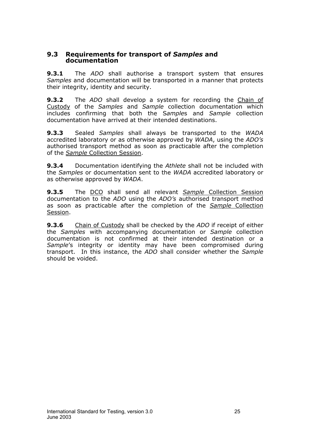#### <span id="page-24-0"></span>**9.3 Requirements for transport of** *Samples* **and documentation**

**9.3.1** The *ADO* shall authorise a transport system that ensures *Samples* and documentation will be transported in a manner that protects their integrity, identity and security.

**9.3.2** The *ADO* shall develop a system for recording the Chain of Custody of the *Samples* and *Sample* collection documentation which includes confirming that both the S*ample*s and *Sample* collection documentation have arrived at their intended destinations.

**9.3.3** Sealed *Samples* shall always be transported to the *WADA* accredited laboratory or as otherwise approved by *WADA*, using the *ADO's* authorised transport method as soon as practicable after the completion of the *Sample* Collection Session.

**9.3.4** Documentation identifying the *Athlete* shall not be included with the *Samples* or documentation sent to the *WADA* accredited laboratory or as otherwise approved by *WADA*.

**9.3.5** The DCO shall send all relevant *Sample* Collection Session documentation to the *ADO* using the *ADO's* authorised transport method as soon as practicable after the completion of the *Sample* Collection Session.

**9.3.6** Chain of Custody shall be checked by the *ADO* if receipt of either the *Samples* with accompanying documentation or *Sample* collection documentation is not confirmed at their intended destination or a *Sample*'s integrity or identity may have been compromised during transport. In this instance, the *ADO* shall consider whether the *Sample* should be voided.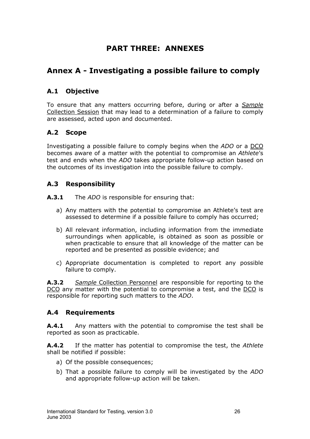# **PART THREE: ANNEXES**

# <span id="page-25-0"></span>**Annex A - Investigating a possible failure to comply**

## **A.1 Objective**

To ensure that any matters occurring before, during or after a *Sample* Collection Session that may lead to a determination of a failure to comply are assessed, acted upon and documented.

## **A.2 Scope**

Investigating a possible failure to comply begins when the *ADO* or a DCO becomes aware of a matter with the potential to compromise an *Athlete*'s test and ends when the *ADO* takes appropriate follow-up action based on the outcomes of its investigation into the possible failure to comply.

## **A.3 Responsibility**

**A.3.1** The *ADO* is responsible for ensuring that:

- a) Any matters with the potential to compromise an Athlete's test are assessed to determine if a possible failure to comply has occurred;
- b) All relevant information, including information from the immediate surroundings when applicable, is obtained as soon as possible or when practicable to ensure that all knowledge of the matter can be reported and be presented as possible evidence; and
- c) Appropriate documentation is completed to report any possible failure to comply.

**A.3.2** *Sample* Collection Personnel are responsible for reporting to the DCO any matter with the potential to compromise a test, and the DCO is responsible for reporting such matters to the *ADO*.

## **A.4 Requirements**

**A.4.1** Any matters with the potential to compromise the test shall be reported as soon as practicable.

**A.4.2** If the matter has potential to compromise the test, the *Athlete* shall be notified if possible:

- a) Of the possible consequences;
- b) That a possible failure to comply will be investigated by the *ADO* and appropriate follow-up action will be taken.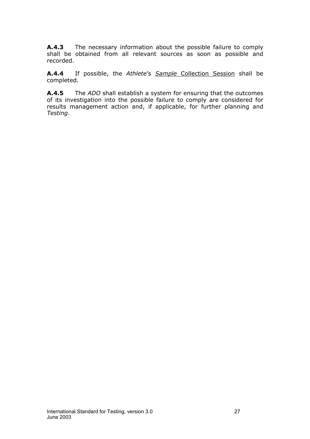**A.4.3** The necessary information about the possible failure to comply shall be obtained from all relevant sources as soon as possible and recorded.

**A.4.4** If possible, the *Athlete*'s *Sample* Collection Session shall be completed.

**A.4.5** The *ADO* shall establish a system for ensuring that the outcomes of its investigation into the possible failure to comply are considered for results management action and, if applicable, for further planning and *Testing*.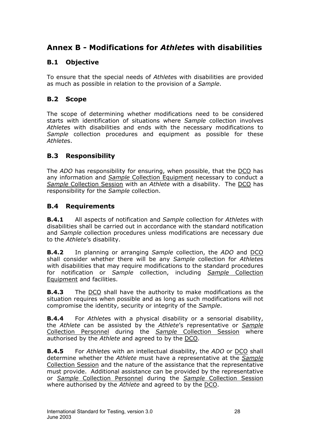# <span id="page-27-0"></span>**Annex B - Modifications for** *Athlete***s with disabilities**

# **B.1 Objective**

To ensure that the special needs of *Athlete*s with disabilities are provided as much as possible in relation to the provision of a *Sample*.

# **B.2 Scope**

The scope of determining whether modifications need to be considered starts with identification of situations where *Sample* collection involves *Athlete*s with disabilities and ends with the necessary modifications to *Sample* collection procedures and equipment as possible for these *Athlete*s.

# **B.3 Responsibility**

The *ADO* has responsibility for ensuring, when possible, that the DCO has any information and *Sample* Collection Equipment necessary to conduct a *Sample* Collection Session with an *Athlete* with a disability. The DCO has responsibility for the *Sample* collection.

# **B.4 Requirements**

**B.4.1** All aspects of notification and *Sample* collection for *Athlete*s with disabilities shall be carried out in accordance with the standard notification and *Sample* collection procedures unless modifications are necessary due to the *Athlete*'s disability.

**B.4.2** In planning or arranging *Sample* collection, the *ADO* and DCO shall consider whether there will be any *Sample* collection for *Athlete*s with disabilities that may require modifications to the standard procedures for notification or *Sample* collection, including *Sample* Collection Equipment and facilities.

**B.4.3** The DCO shall have the authority to make modifications as the situation requires when possible and as long as such modifications will not compromise the identity, security or integrity of the *Sample*.

**B.4.4** For *Athlete*s with a physical disability or a sensorial disability, the *Athlete* can be assisted by the *Athlete*'s representative or *Sample* Collection Personnel during the *Sample* Collection Session where authorised by the *Athlete* and agreed to by the DCO.

**B.4.5** For *Athlete*s with an intellectual disability, the *ADO* or DCO shall determine whether the *Athlete* must have a representative at the *Sample* Collection Session and the nature of the assistance that the representative must provide. Additional assistance can be provided by the representative or *Sample* Collection Personnel during the *Sample* Collection Session where authorised by the *Athlete* and agreed to by the DCO.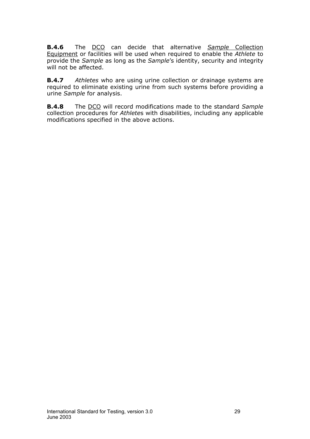**B.4.6** The DCO can decide that alternative *Sample* Collection Equipment or facilities will be used when required to enable the *Athlete* to provide the *Sample* as long as the *Sample*'s identity, security and integrity will not be affected.

**B.4.7** *Athletes* who are using urine collection or drainage systems are required to eliminate existing urine from such systems before providing a urine *Sample* for analysis.

**B.4.8** The DCO will record modifications made to the standard *Sample* collection procedures for *Athlete*s with disabilities, including any applicable modifications specified in the above actions.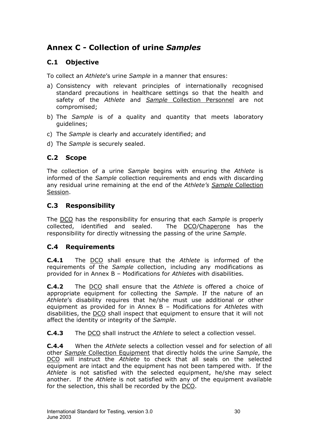# <span id="page-29-0"></span>**Annex C - Collection of urine** *Samples*

# **C.1 Objective**

To collect an *Athlete*'s urine *Sample* in a manner that ensures:

- a) Consistency with relevant principles of internationally recognised standard precautions in healthcare settings so that the health and safety of the *Athlete* and *Sample* Collection Personnel are not compromised;
- b) The *Sample* is of a quality and quantity that meets laboratory guidelines;
- c) The *Sample* is clearly and accurately identified; and
- d) The *Sample* is securely sealed.

# **C.2 Scope**

The collection of a urine *Sample* begins with ensuring the *Athlete* is informed of the *Sample* collection requirements and ends with discarding any residual urine remaining at the end of the *Athlete's Sample* Collection Session.

# **C.3 Responsibility**

The DCO has the responsibility for ensuring that each *Sample* is properly collected, identified and sealed. The DCO/Chaperone has the responsibility for directly witnessing the passing of the urine *Sample*.

# **C.4 Requirements**

**C.4.1** The DCO shall ensure that the *Athlete* is informed of the requirements of the *Sample* collection, including any modifications as provided for in Annex B – Modifications for *Athlete*s with disabilities.

**C.4.2** The DCO shall ensure that the *Athlete* is offered a choice of appropriate equipment for collecting the *Sample*. If the nature of an *Athlete*'s disability requires that he/she must use additional or other equipment as provided for in Annex B – Modifications for *Athlete*s with disabilities, the DCO shall inspect that equipment to ensure that it will not affect the identity or integrity of the *Sample*.

**C.4.3** The DCO shall instruct the *Athlete* to select a collection vessel.

**C.4.4** When the *Athlete* selects a collection vessel and for selection of all other *Sample* Collection Equipment that directly holds the urine *Sample*, the DCO will instruct the *Athlete* to check that all seals on the selected equipment are intact and the equipment has not been tampered with. If the *Athlete* is not satisfied with the selected equipment, he/she may select another. If the *Athlete* is not satisfied with any of the equipment available for the selection, this shall be recorded by the DCO.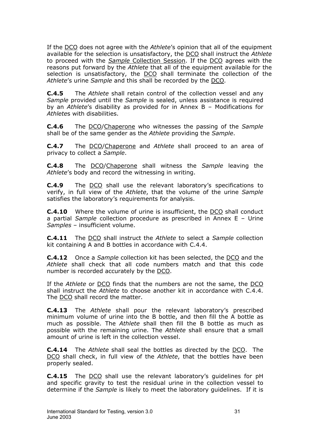If the DCO does not agree with the *Athlete*'s opinion that all of the equipment available for the selection is unsatisfactory, the DCO shall instruct the *Athlete* to proceed with the *Sample* Collection Session. If the DCO agrees with the reasons put forward by the *Athlete* that all of the equipment available for the selection is unsatisfactory, the DCO shall terminate the collection of the *Athlete*'s urine *Sample* and this shall be recorded by the DCO.

**C.4.5** The *Athlete* shall retain control of the collection vessel and any *Sample* provided until the *Sample* is sealed, unless assistance is required by an *Athlete*'s disability as provided for in Annex B – Modifications for *Athlete*s with disabilities.

**C.4.6** The DCO/Chaperone who witnesses the passing of the *Sample* shall be of the same gender as the *Athlete* providing the *Sample*.

**C.4.7** The DCO/Chaperone and *Athlete* shall proceed to an area of privacy to collect a *Sample*.

**C.4.8** The DCO/Chaperone shall witness the *Sample* leaving the *Athlete*'s body and record the witnessing in writing.

**C.4.9** The DCO shall use the relevant laboratory's specifications to verify, in full view of the *Athlete*, that the volume of the urine *Sample* satisfies the laboratory's requirements for analysis.

**C.4.10** Where the volume of urine is insufficient, the DCO shall conduct a partial *Sample* collection procedure as prescribed in Annex E – Urine *Samples* – insufficient volume.

**C.4.11** The DCO shall instruct the *Athlete* to select a *Sample* collection kit containing A and B bottles in accordance with C.4.4.

**C.4.12** Once a *Sample* collection kit has been selected, the DCO and the *Athlete* shall check that all code numbers match and that this code number is recorded accurately by the DCO.

If the *Athlete* or DCO finds that the numbers are not the same, the DCO shall instruct the *Athlete* to choose another kit in accordance with C.4.4. The DCO shall record the matter.

**C.4.13** The *Athlete* shall pour the relevant laboratory's prescribed minimum volume of urine into the B bottle, and then fill the A bottle as much as possible. The *Athlete* shall then fill the B bottle as much as possible with the remaining urine. The *Athlete* shall ensure that a small amount of urine is left in the collection vessel.

**C.4.14** The *Athlete* shall seal the bottles as directed by the DCO. The DCO shall check, in full view of the *Athlete*, that the bottles have been properly sealed.

**C.4.15** The DCO shall use the relevant laboratory's guidelines for pH and specific gravity to test the residual urine in the collection vessel to determine if the *Sample* is likely to meet the laboratory guidelines. If it is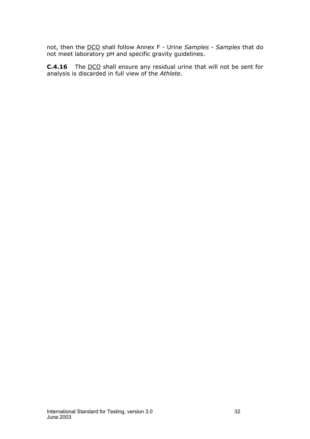not, then the DCO shall follow Annex F - Urine *Samples* - *Samples* that do not meet laboratory pH and specific gravity guidelines.

**C.4.16** The DCO shall ensure any residual urine that will not be sent for analysis is discarded in full view of the *Athlete*.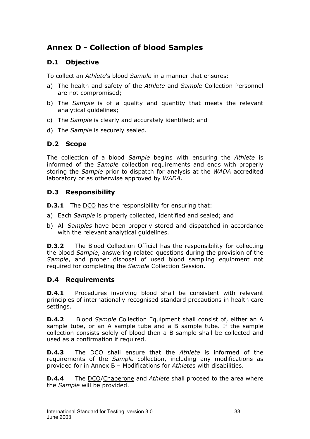# <span id="page-32-0"></span>**Annex D - Collection of blood Samples**

# **D.1 Objective**

To collect an *Athlete*'s blood *Sample* in a manner that ensures:

- a) The health and safety of the *Athlete* and *Sample* Collection Personnel are not compromised;
- b) The *Sample* is of a quality and quantity that meets the relevant analytical guidelines;
- c) The *Sample* is clearly and accurately identified; and
- d) The *Sample* is securely sealed.

# **D.2 Scope**

The collection of a blood *Sample* begins with ensuring the *Athlete* is informed of the *Sample* collection requirements and ends with properly storing the *Sample* prior to dispatch for analysis at the *WADA* accredited laboratory or as otherwise approved by *WADA*.

# **D.3 Responsibility**

- **D.3.1** The DCO has the responsibility for ensuring that:
- a) Each *Sample* is properly collected, identified and sealed; and
- b) All *Samples* have been properly stored and dispatched in accordance with the relevant analytical guidelines.

**D.3.2** The Blood Collection Official has the responsibility for collecting the blood *Sample*, answering related questions during the provision of the *Sample*, and proper disposal of used blood sampling equipment not required for completing the *Sample* Collection Session.

# **D.4 Requirements**

**D.4.1** Procedures involving blood shall be consistent with relevant principles of internationally recognised standard precautions in health care settings.

**D.4.2** Blood *Sample* Collection Equipment shall consist of, either an A sample tube, or an A sample tube and a B sample tube. If the sample collection consists solely of blood then a B sample shall be collected and used as a confirmation if required.

**D.4.3** The DCO shall ensure that the *Athlete* is informed of the requirements of the *Sample* collection, including any modifications as provided for in Annex B – Modifications for *Athlete*s with disabilities.

**D.4.4** The DCO/Chaperone and *Athlete* shall proceed to the area where the *Sample* will be provided.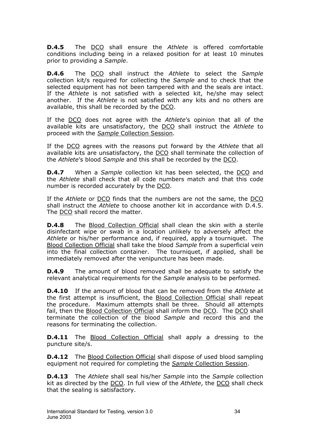**D.4.5** The DCO shall ensure the *Athlete* is offered comfortable conditions including being in a relaxed position for at least 10 minutes prior to providing a *Sample*.

**D.4.6** The DCO shall instruct the *Athlete* to select the *Sample* collection kit/s required for collecting the *Sample* and to check that the selected equipment has not been tampered with and the seals are intact. If the *Athlete* is not satisfied with a selected kit, he/she may select another. If the *Athlete* is not satisfied with any kits and no others are available, this shall be recorded by the DCO.

If the DCO does not agree with the *Athlete*'s opinion that all of the available kits are unsatisfactory, the DCO shall instruct the *Athlete* to proceed with the *Sample* Collection Session.

If the DCO agrees with the reasons put forward by the *Athlete* that all available kits are unsatisfactory, the DCO shall terminate the collection of the *Athlete*'s blood *Sample* and this shall be recorded by the DCO.

**D.4.7** When a *Sample* collection kit has been selected, the DCO and the *Athlete* shall check that all code numbers match and that this code number is recorded accurately by the DCO.

If the *Athlete* or DCO finds that the numbers are not the same, the DCO shall instruct the *Athlete* to choose another kit in accordance with D.4.5. The DCO shall record the matter.

**D.4.8** The Blood Collection Official shall clean the skin with a sterile disinfectant wipe or swab in a location unlikely to adversely affect the *Athlete* or his/her performance and, if required, apply a tourniquet. The Blood Collection Official shall take the blood *Sample* from a superficial vein into the final collection container. The tourniquet, if applied, shall be immediately removed after the venipuncture has been made.

**D.4.9** The amount of blood removed shall be adequate to satisfy the relevant analytical requirements for the *Sample* analysis to be performed.

**D.4.10** If the amount of blood that can be removed from the *Athlete* at the first attempt is insufficient, the Blood Collection Official shall repeat the procedure. Maximum attempts shall be three. Should all attempts fail, then the Blood Collection Official shall inform the DCO. The DCO shall terminate the collection of the blood *Sample* and record this and the reasons for terminating the collection.

**D.4.11** The Blood Collection Official shall apply a dressing to the puncture site/s.

**D.4.12** The Blood Collection Official shall dispose of used blood sampling equipment not required for completing the *Sample* Collection Session.

**D.4.13** The *Athlete* shall seal his/her *Sample* into the *Sample* collection kit as directed by the DCO. In full view of the *Athlete*, the DCO shall check that the sealing is satisfactory.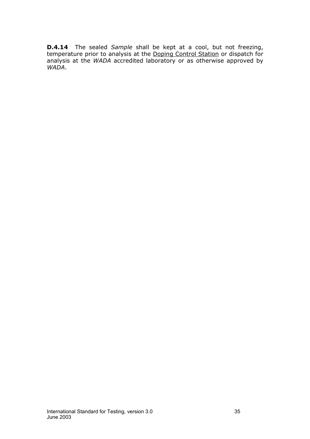**D.4.14** The sealed *Sample* shall be kept at a cool, but not freezing, temperature prior to analysis at the Doping Control Station or dispatch for analysis at the *WADA* accredited laboratory or as otherwise approved by *WADA*.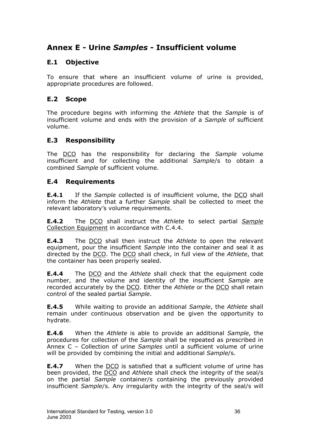# <span id="page-35-0"></span>**Annex E - Urine** *Samples* **- Insufficient volume**

# **E.1 Objective**

To ensure that where an insufficient volume of urine is provided, appropriate procedures are followed.

# **E.2 Scope**

The procedure begins with informing the *Athlete* that the *Sample* is of insufficient volume and ends with the provision of a *Sample* of sufficient volume.

# **E.3 Responsibility**

The DCO has the responsibility for declaring the *Sample* volume insufficient and for collecting the additional *Sample*/s to obtain a combined *Sample* of sufficient volume.

# **E.4 Requirements**

**E.4.1** If the *Sample* collected is of insufficient volume, the DCO shall inform the *Athlete* that a further *Sample* shall be collected to meet the relevant laboratory's volume requirements.

**E.4.2** The DCO shall instruct the *Athlete* to select partial *Sample* Collection Equipment in accordance with C.4.4.

**E.4.3** The DCO shall then instruct the *Athlete* to open the relevant equipment, pour the insufficient *Sample* into the container and seal it as directed by the DCO. The DCO shall check, in full view of the *Athlete*, that the container has been properly sealed.

**E.4.4** The DCO and the *Athlete* shall check that the equipment code number, and the volume and identity of the insufficient *Sample* are recorded accurately by the DCO. Either the *Athlete* or the DCO shall retain control of the sealed partial *Sample*.

**E.4.5** While waiting to provide an additional *Sample*, the *Athlete* shall remain under continuous observation and be given the opportunity to hydrate.

**E.4.6** When the *Athlete* is able to provide an additional *Sample*, the procedures for collection of the *Sample* shall be repeated as prescribed in Annex C – Collection of urine *Samples* until a sufficient volume of urine will be provided by combining the initial and additional *Sample*/s.

**E.4.7** When the DCO is satisfied that a sufficient volume of urine has been provided, the DCO and *Athlete* shall check the integrity of the seal/s on the partial *Sample* container/s containing the previously provided insufficient *Sample*/s. Any irregularity with the integrity of the seal/s will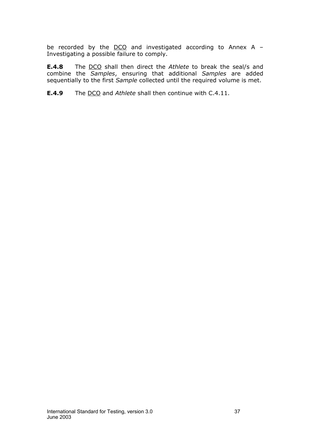be recorded by the  $DCO$  and investigated according to Annex A -Investigating a possible failure to comply.

**E.4.8** The DCO shall then direct the *Athlete* to break the seal/s and combine the *Samples*, ensuring that additional *Samples* are added sequentially to the first *Sample* collected until the required volume is met.

**E.4.9** The DCO and *Athlete* shall then continue with C.4.11.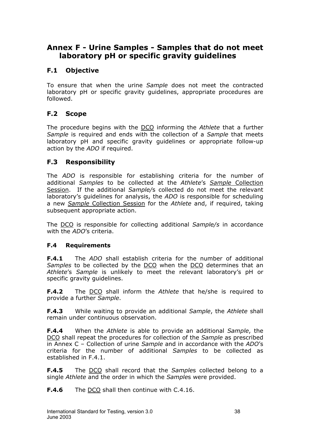# <span id="page-37-0"></span>**Annex F - Urine Samples - Samples that do not meet laboratory pH or specific gravity guidelines**

# **F.1 Objective**

To ensure that when the urine *Sample* does not meet the contracted laboratory pH or specific gravity guidelines, appropriate procedures are followed.

# **F.2 Scope**

The procedure begins with the DCO informing the *Athlete* that a further *Sample* is required and ends with the collection of a *Sample* that meets laboratory pH and specific gravity guidelines or appropriate follow-up action by the *ADO* if required.

## **F.3 Responsibility**

The *ADO* is responsible for establishing criteria for the number of additional *Samples* to be collected at the *Athlete*'s *Sample* Collection Session. If the additional *Sample/*s collected do not meet the relevant laboratory's guidelines for analysis, the *ADO* is responsible for scheduling a new *Sample* Collection Session for the *Athlete* and, if required, taking subsequent appropriate action.

The DCO is responsible for collecting additional *Sample/s* in accordance with the *ADO*'s criteria.

## **F.4 Requirements**

**F.4.1** The *ADO* shall establish criteria for the number of additional *Samples* to be collected by the DCO when the DCO determines that an *Athlete*'s *Sample* is unlikely to meet the relevant laboratory's pH or specific gravity guidelines.

**F.4.2** The DCO shall inform the *Athlete* that he/she is required to provide a further *Sample*.

**F.4.3** While waiting to provide an additional *Sample*, the *Athlete* shall remain under continuous observation.

**F.4.4** When the *Athlete* is able to provide an additional *Sample*, the DCO shall repeat the procedures for collection of the *Sample* as prescribed in Annex C – Collection of urine *Sample* and in accordance with the *ADO*'s criteria for the number of additional *Samples* to be collected as established in F.4.1.

**F.4.5** The DCO shall record that the *Sample*s collected belong to a single *Athlete* and the order in which the *Sample*s were provided.

**F.4.6** The DCO shall then continue with C.4.16.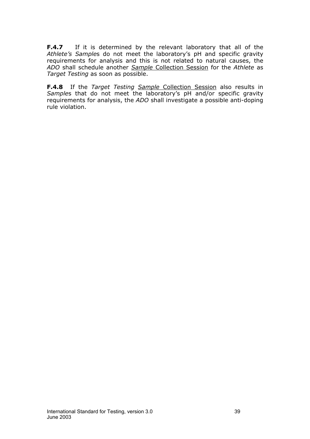**F.4.7** If it is determined by the relevant laboratory that all of the *Athlete's Sample*s do not meet the laboratory's pH and specific gravity requirements for analysis and this is not related to natural causes, the *ADO* shall schedule another *Sample* Collection Session for the *Athlete* as *Target Testing* as soon as possible.

**F.4.8** If the *Target Testing Sample* Collection Session also results in *Sample*s that do not meet the laboratory's pH and/or specific gravity requirements for analysis, the *ADO* shall investigate a possible anti-doping rule violation.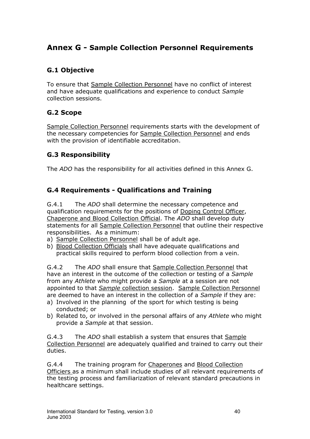# <span id="page-39-0"></span>**Annex G - Sample Collection Personnel Requirements**

# **G.1 Objective**

To ensure that Sample Collection Personnel have no conflict of interest and have adequate qualifications and experience to conduct *Sample* collection sessions.

# **G.2 Scope**

Sample Collection Personnel requirements starts with the development of the necessary competencies for Sample Collection Personnel and ends with the provision of identifiable accreditation.

# **G.3 Responsibility**

The *ADO* has the responsibility for all activities defined in this Annex G.

# **G.4 Requirements - Qualifications and Training**

G.4.1 The *ADO* shall determine the necessary competence and qualification requirements for the positions of Doping Control Officer, Chaperone and Blood Collection Official. The *ADO* shall develop duty statements for all Sample Collection Personnel that outline their respective responsibilities. As a minimum:

- a) Sample Collection Personnel shall be of adult age.
- b) Blood Collection Officials shall have adequate qualifications and practical skills required to perform blood collection from a vein.

G.4.2 The *ADO* shall ensure that Sample Collection Personnel that have an interest in the outcome of the collection or testing of a *Sample* from any *Athlete* who might provide a *Sample* at a session are not appointed to that *Sample* collection session. Sample Collection Personnel are deemed to have an interest in the collection of a *Sample* if they are:

- a) Involved in the planning of the sport for which testing is being conducted; or
- b) Related to, or involved in the personal affairs of any *Athlete* who might provide a *Sample* at that session.

G.4.3 The *ADO* shall establish a system that ensures that Sample Collection Personnel are adequately qualified and trained to carry out their duties.

G.4.4 The training program for Chaperones and Blood Collection Officiers as a minimum shall include studies of all relevant requirements of the testing process and familiarization of relevant standard precautions in healthcare settings.